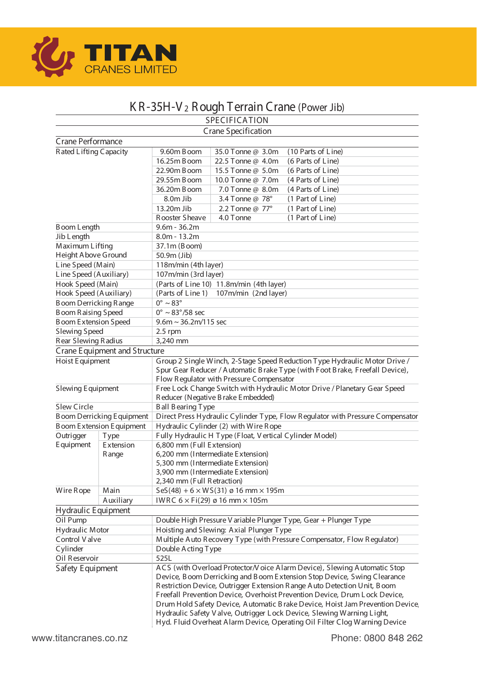

# K R -35H-V 2 R ough T errain Crane (Power Jib)

|                                 |                                  |                                                                                | SPECIFICATION                                                |                                                                               |  |  |  |  |
|---------------------------------|----------------------------------|--------------------------------------------------------------------------------|--------------------------------------------------------------|-------------------------------------------------------------------------------|--|--|--|--|
|                                 |                                  |                                                                                | Crane Specification                                          |                                                                               |  |  |  |  |
| Crane Performance               |                                  |                                                                                |                                                              |                                                                               |  |  |  |  |
| Rated Lifting Capacity          |                                  | 9.60m Boom                                                                     | 35.0 Tonne @ 3.0m                                            | (10 Parts of Line)                                                            |  |  |  |  |
|                                 |                                  | 16.25m Boom                                                                    | 22.5 Tonne @ 4.0m                                            | (6 Parts of Line)                                                             |  |  |  |  |
|                                 |                                  | 22.90m Boom                                                                    | 15.5 Tonne @ 5.0m                                            | (6 Parts of Line)                                                             |  |  |  |  |
|                                 |                                  | 29.55m Boom                                                                    | 10.0 Tonne @ 7.0m                                            | (4 Parts of Line)                                                             |  |  |  |  |
|                                 |                                  | 36.20m B oom                                                                   | 7.0 Tonne @ 8.0m                                             | (4 Parts of Line)                                                             |  |  |  |  |
|                                 |                                  | 8.0m Jib                                                                       | 3.4 Tonne @ 78°                                              | (1 Part of Line)                                                              |  |  |  |  |
|                                 |                                  | 13.20m Jib                                                                     | 2.2 Tonne @ 77°                                              | (1 Part of Line)                                                              |  |  |  |  |
|                                 |                                  | Rooster Sheave                                                                 | 4.0 Tonne                                                    | (1 Part of Line)                                                              |  |  |  |  |
| Boom Length                     |                                  | $9.6m - 36.2m$                                                                 |                                                              |                                                                               |  |  |  |  |
| Jib Length                      |                                  | $8.0m - 13.2m$                                                                 |                                                              |                                                                               |  |  |  |  |
| Maximum Lifting                 |                                  | 37.1m (Boom)                                                                   |                                                              |                                                                               |  |  |  |  |
| Height A bove Ground            |                                  | 50.9m (Jib)                                                                    |                                                              |                                                                               |  |  |  |  |
| Line Speed (Main)               |                                  | 118m/min (4th layer)                                                           |                                                              |                                                                               |  |  |  |  |
| Line Speed (Auxiliary)          |                                  | 107m/min (3rd layer)                                                           |                                                              |                                                                               |  |  |  |  |
| Hook Speed (Main)               |                                  |                                                                                | (Parts of Line 10) 11.8m/min (4th layer)                     |                                                                               |  |  |  |  |
| Hook Speed (Auxiliary)          |                                  | (Parts of Line 1)                                                              | 107m/min (2nd layer)                                         |                                                                               |  |  |  |  |
| <b>Boom Derricking Range</b>    |                                  | $0^\circ \sim 83^\circ$                                                        |                                                              |                                                                               |  |  |  |  |
| <b>Boom Raising Speed</b>       |                                  | $0^\circ \sim 83^\circ / 58$ sec                                               |                                                              |                                                                               |  |  |  |  |
| <b>Boom Extension Speed</b>     |                                  | $9.6m \sim 36.2m/115$ sec                                                      |                                                              |                                                                               |  |  |  |  |
| <b>Slewing Speed</b>            |                                  | $2.5$ rpm                                                                      |                                                              |                                                                               |  |  |  |  |
| Rear Slewing Radius             |                                  | 3,240 mm                                                                       |                                                              |                                                                               |  |  |  |  |
|                                 | Crane Equipment and Structure    |                                                                                |                                                              |                                                                               |  |  |  |  |
| Hoist Equipment                 |                                  | Group 2 Single Winch, 2-Stage Speed Reduction Type Hydraulic Motor Drive /     |                                                              |                                                                               |  |  |  |  |
|                                 |                                  | Spur Gear Reducer / Automatic Brake Type (with Foot Brake, Freefall Device),   |                                                              |                                                                               |  |  |  |  |
|                                 |                                  | Flow Regulator with Pressure Compensator                                       |                                                              |                                                                               |  |  |  |  |
| Slewing Equipment               |                                  | Free Lock Change Switch with Hydraulic Motor Drive / Planetary Gear Speed      |                                                              |                                                                               |  |  |  |  |
|                                 |                                  |                                                                                | Reducer (Negative Brake Embedded)                            |                                                                               |  |  |  |  |
| <b>Slew Circle</b>              |                                  | <b>Ball Bearing Type</b>                                                       |                                                              |                                                                               |  |  |  |  |
|                                 | <b>Boom Derricking Equipment</b> | Direct Press Hydraulic Cylinder Type, Flow Regulator with Pressure Compensator |                                                              |                                                                               |  |  |  |  |
|                                 | B oom Extension Equipment        | Hydraulic Cylinder (2) with Wire Rope                                          |                                                              |                                                                               |  |  |  |  |
| Outrigger                       | <b>Type</b>                      |                                                                                | Fully Hydraulic H Type (Float, V ertical Cylinder Model)     |                                                                               |  |  |  |  |
| E quipment                      | Extension                        | 6,800 mm (Full Extension)                                                      |                                                              |                                                                               |  |  |  |  |
|                                 | Range                            |                                                                                | 6,200 mm (Intermediate Extension)                            |                                                                               |  |  |  |  |
|                                 |                                  |                                                                                | 5,300 mm (Intermediate Extension)                            |                                                                               |  |  |  |  |
|                                 |                                  |                                                                                | 3,900 mm (Intermediate Extension)                            |                                                                               |  |  |  |  |
|                                 |                                  | 2,340 mm (Full Retraction)                                                     |                                                              |                                                                               |  |  |  |  |
| Wire Rope                       | Main                             |                                                                                | $SeS(48) + 6 \times WS(31) \varnothing 16$ mm $\times 195$ m |                                                                               |  |  |  |  |
|                                 | Auxiliary                        |                                                                                | IWRC $6 \times$ Fi(29) ø 16 mm $\times$ 105m                 |                                                                               |  |  |  |  |
| Hydraulic Equipment             |                                  |                                                                                |                                                              |                                                                               |  |  |  |  |
| Oil Pump                        |                                  |                                                                                |                                                              | Double High Pressure V ariable Plunger Type, Gear + Plunger Type              |  |  |  |  |
| Hydraulic Motor                 |                                  |                                                                                | Hoisting and Slewing: Axial Plunger Type                     |                                                                               |  |  |  |  |
| Control Valve                   |                                  |                                                                                |                                                              | Multiple Auto Recovery Type (with Pressure Compensator, Flow Regulator)       |  |  |  |  |
| Cylinder<br>Double A cting Type |                                  |                                                                                |                                                              |                                                                               |  |  |  |  |
| Oil Reservoir                   |                                  | 525L                                                                           |                                                              |                                                                               |  |  |  |  |
| Safety Equipment                |                                  | ACS (with Overload Protector/V oice Alarm Device), Slewing Automatic Stop      |                                                              |                                                                               |  |  |  |  |
|                                 |                                  |                                                                                |                                                              | Device, Boom Derricking and Boom Extension Stop Device, Swing Clearance       |  |  |  |  |
|                                 |                                  |                                                                                |                                                              | Restriction Device, Outrigger Extension Range Auto Detection Unit, Boom       |  |  |  |  |
|                                 |                                  |                                                                                |                                                              | Freefall Prevention Device, Overhoist Prevention Device, Drum Lock Device,    |  |  |  |  |
|                                 |                                  |                                                                                |                                                              | Drum Hold Safety Device, Automatic Brake Device, Hoist Jam Prevention Device, |  |  |  |  |
|                                 |                                  |                                                                                |                                                              | Hydraulic Safety V alve, Outrigger Lock Device, Slewing Warning Light,        |  |  |  |  |
|                                 |                                  | Hyd. Fluid Overheat Alarm Device, Operating Oil Filter Clog Warning Device     |                                                              |                                                                               |  |  |  |  |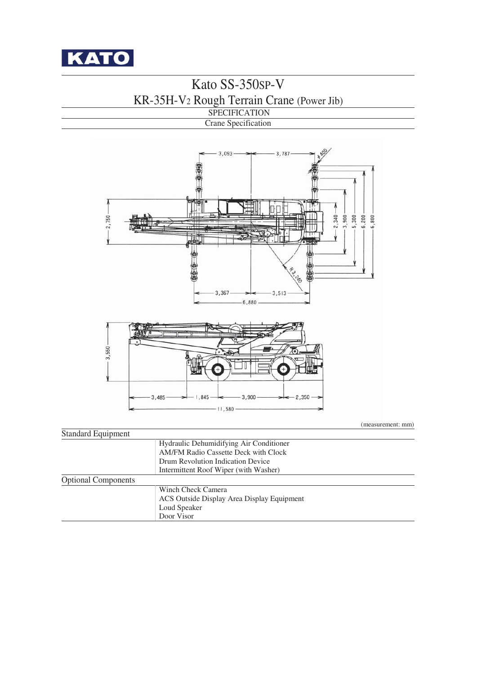

# Kato SS-350SP-V KR-35H-V2 Rough Terrain Crane (Power Jib)

#### SPECIFICATION Crane Specification



(measurement: mm)

| Hydraulic Dehumidifying Air Conditioner     |
|---------------------------------------------|
| <b>AM/FM Radio Cassette Deck with Clock</b> |
| Drum Revolution Indication Device           |
| Intermittent Roof Wiper (with Washer)       |
|                                             |
| Winch Check Camera                          |
| ACS Outside Display Area Display Equipment  |
| Loud Speaker                                |
| Door Visor                                  |
|                                             |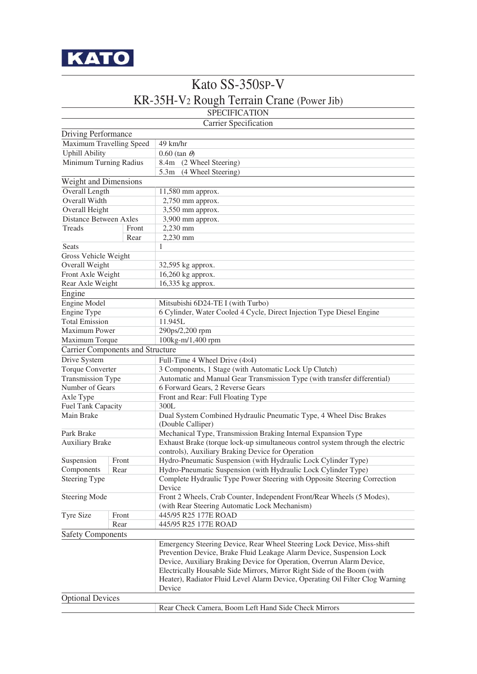

## Kato SS-350SP-V KR-35H-V2 Rough Terrain Crane (Power Jib)

#### SPECIFICATION

|                                         |       | Carrier Specification                                                                                                   |  |  |  |  |  |
|-----------------------------------------|-------|-------------------------------------------------------------------------------------------------------------------------|--|--|--|--|--|
| Driving Performance                     |       |                                                                                                                         |  |  |  |  |  |
| Maximum Travelling Speed                |       | 49 km/hr                                                                                                                |  |  |  |  |  |
| <b>Uphill Ability</b>                   |       | $0.60$ (tan $\theta$ )                                                                                                  |  |  |  |  |  |
| Minimum Turning Radius                  |       | 8.4m (2 Wheel Steering)                                                                                                 |  |  |  |  |  |
|                                         |       | 5.3m (4 Wheel Steering)                                                                                                 |  |  |  |  |  |
| Weight and Dimensions                   |       |                                                                                                                         |  |  |  |  |  |
| Overall Length                          |       | 11,580 mm approx.                                                                                                       |  |  |  |  |  |
| Overall Width                           |       | 2,750 mm approx.                                                                                                        |  |  |  |  |  |
| Overall Height                          |       | 3,550 mm approx.                                                                                                        |  |  |  |  |  |
| <b>Distance Between Axles</b>           |       | 3,900 mm approx.                                                                                                        |  |  |  |  |  |
| Treads                                  | Front | 2,230 mm                                                                                                                |  |  |  |  |  |
|                                         | Rear  | 2,230 mm                                                                                                                |  |  |  |  |  |
| <b>Seats</b>                            |       | 1                                                                                                                       |  |  |  |  |  |
| Gross Vehicle Weight                    |       |                                                                                                                         |  |  |  |  |  |
| Overall Weight                          |       | 32,595 kg approx.                                                                                                       |  |  |  |  |  |
| Front Axle Weight                       |       | 16,260 kg approx.                                                                                                       |  |  |  |  |  |
| Rear Axle Weight                        |       | 16,335 kg approx.                                                                                                       |  |  |  |  |  |
|                                         |       |                                                                                                                         |  |  |  |  |  |
| Engine                                  |       |                                                                                                                         |  |  |  |  |  |
| Engine Model                            |       | Mitsubishi 6D24-TE I (with Turbo)                                                                                       |  |  |  |  |  |
| Engine Type                             |       | 6 Cylinder, Water Cooled 4 Cycle, Direct Injection Type Diesel Engine                                                   |  |  |  |  |  |
| <b>Total Emission</b>                   |       | 11.945L                                                                                                                 |  |  |  |  |  |
| Maximum Power                           |       | 290ps/2,200 rpm                                                                                                         |  |  |  |  |  |
| Maximum Torque                          |       | 100kg-m/1,400 rpm                                                                                                       |  |  |  |  |  |
| <b>Carrier Components and Structure</b> |       |                                                                                                                         |  |  |  |  |  |
| Drive System                            |       | Full-Time 4 Wheel Drive (4×4)                                                                                           |  |  |  |  |  |
| Torque Converter                        |       | 3 Components, 1 Stage (with Automatic Lock Up Clutch)                                                                   |  |  |  |  |  |
| Transmission Type                       |       | Automatic and Manual Gear Transmission Type (with transfer differential)                                                |  |  |  |  |  |
| Number of Gears                         |       | 6 Forward Gears, 2 Reverse Gears                                                                                        |  |  |  |  |  |
| Axle Type                               |       | Front and Rear: Full Floating Type                                                                                      |  |  |  |  |  |
| Fuel Tank Capacity                      |       | 300L                                                                                                                    |  |  |  |  |  |
| Main Brake                              |       | Dual System Combined Hydraulic Pneumatic Type, 4 Wheel Disc Brakes<br>(Double Calliper)                                 |  |  |  |  |  |
| Park Brake                              |       | Mechanical Type, Transmission Braking Internal Expansion Type                                                           |  |  |  |  |  |
| <b>Auxiliary Brake</b>                  |       | Exhaust Brake (torque lock-up simultaneous control system through the electric                                          |  |  |  |  |  |
|                                         |       | controls), Auxiliary Braking Device for Operation                                                                       |  |  |  |  |  |
| Suspension                              | Front | Hydro-Pneumatic Suspension (with Hydraulic Lock Cylinder Type)                                                          |  |  |  |  |  |
| Components                              | Rear  | Hydro-Pneumatic Suspension (with Hydraulic Lock Cylinder Type)                                                          |  |  |  |  |  |
| Steering Type                           |       | Complete Hydraulic Type Power Steering with Opposite Steering Correction<br>Device                                      |  |  |  |  |  |
| <b>Steering Mode</b>                    |       | Front 2 Wheels, Crab Counter, Independent Front/Rear Wheels (5 Modes),<br>(with Rear Steering Automatic Lock Mechanism) |  |  |  |  |  |
| Tyre Size                               | Front | 445/95 R25 177E ROAD                                                                                                    |  |  |  |  |  |
|                                         | Rear  | 445/95 R25 177E ROAD                                                                                                    |  |  |  |  |  |
| <b>Safety Components</b>                |       |                                                                                                                         |  |  |  |  |  |
|                                         |       | Emergency Steering Device, Rear Wheel Steering Lock Device, Miss-shift                                                  |  |  |  |  |  |
|                                         |       | Prevention Device, Brake Fluid Leakage Alarm Device, Suspension Lock                                                    |  |  |  |  |  |
|                                         |       | Device, Auxiliary Braking Device for Operation, Overrun Alarm Device,                                                   |  |  |  |  |  |
|                                         |       | Electrically Housable Side Mirrors, Mirror Right Side of the Boom (with                                                 |  |  |  |  |  |
|                                         |       | Heater), Radiator Fluid Level Alarm Device, Operating Oil Filter Clog Warning                                           |  |  |  |  |  |
|                                         |       | Device                                                                                                                  |  |  |  |  |  |
| <b>Optional Devices</b>                 |       |                                                                                                                         |  |  |  |  |  |
|                                         |       | Rear Check Camera, Boom Left Hand Side Check Mirrors                                                                    |  |  |  |  |  |
|                                         |       |                                                                                                                         |  |  |  |  |  |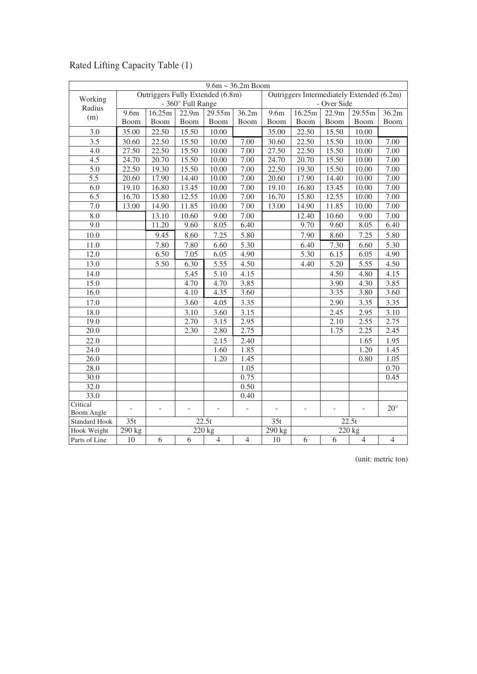|                      | $9.6m \sim 36.2m$ Boom           |                |                   |                     |                                           |                          |                          |                   |                    |                |
|----------------------|----------------------------------|----------------|-------------------|---------------------|-------------------------------------------|--------------------------|--------------------------|-------------------|--------------------|----------------|
| Working              | Outriggers Fully Extended (6.8m) |                |                   |                     | Outriggers Intermediately Extended (6.2m) |                          |                          |                   |                    |                |
| Radius               |                                  |                | - 360° Full Range |                     |                                           | - Over Side              |                          |                   |                    |                |
| (m)                  | 9.6m                             | 16.25m         | 22.9m             | 29.55m              | 36.2m                                     | 9.6 <sub>m</sub>         | 16.25m                   | 22.9m             | 29.55m             | 36.2m          |
|                      | Boom                             | Boom           | Boom              | Boom                | Boom                                      | Boom                     | Boom                     | Boom              | <b>Boom</b>        | Boom           |
| 3.0                  | 35.00                            | 22.50          | 15.50             | 10.00               |                                           | 35.00                    | 22.50                    | 15.50             | 10.00              |                |
| 3.5                  | 30.60                            | 22.50          | 15.50             | 10.00               | 7.00                                      | 30.60                    | 22.50                    | 15.50             | 10.00              | 7.00           |
| $\overline{4.0}$     | 27.50                            | 22.50          | 15.50             | 10.00               | 7.00                                      | 27.50                    | 22.50                    | 15.50             | 10.00              | 7.00           |
| $\overline{4.5}$     | 24.70                            | 20.70          | 15.50             | 10.00               | $\overline{7.00}$                         | 24.70                    | 20.70                    | 15.50             | 10.00              | 7.00           |
| 5.0                  | 22.50                            | 19.30          | 15.50             | 10.00               | $\overline{7.00}$                         | 22.50                    | $\overline{19.30}$       | 15.50             | 10.00              | 7.00           |
| $\overline{5.5}$     | 20.60                            | 17.90          | 14.40             | 10.00               | 7.00                                      | 20.60                    | 17.90                    | 14.40             | 10.00              | 7.00           |
| 6.0                  | 19.10                            | 16.80          | 13.45             | 10.00               | 7.00                                      | 19.10                    | 16.80                    | 13.45             | 10.00              | 7.00           |
| 6.5                  | 16.70                            | 15.80          | 12.55             | 10.00               | 7.00                                      | 16.70                    | 15.80                    | 12.55             | 10.00              | 7.00           |
| 7.0                  | 13.00                            | 14.90          | 11.85             | 10.00               | 7.00                                      | 13.00                    | 14.90                    | 11.85             | 10.00              | 7.00           |
| 8.0                  |                                  | 13.10          | 10.60             | 9.00                | 7.00                                      |                          | 12.40                    | 10.60             | 9.00               | 7.00           |
| $\overline{9.0}$     |                                  | 11.20          | 9.60              | 8.05                | $6.\overline{40}$                         |                          | 9.70                     | 9.60              | 8.05               | 6.40           |
| 10.0                 |                                  | 9.45           | 8.60              | 7.25                | 5.80                                      |                          | 7.90                     | 8.60              | 7.25               | 5.80           |
| 11.0                 |                                  | 7.80           | 7.80              | 6.60                | 5.30                                      |                          | 6.40                     | $\overline{7.30}$ | 6.60               | 5.30           |
| 12.0                 |                                  | 6.50           | 7.05              | 6.05                | 4.90                                      |                          | 5.30                     | 6.15              | 6.05               | 4.90           |
| 13.0                 |                                  | 5.50           | 6.30              | 5.55                | 4.50                                      |                          | 4.40                     | 5.20              | 5.55               | 4.50           |
| 14.0                 |                                  |                | 5.45              | 5.10                | 4.15                                      |                          |                          | 4.50              | 4.80               | 4.15           |
| 15.0                 |                                  |                | 4.70              | 4.70                | 3.85                                      |                          |                          | 3.90              | 4.30               | 3.85           |
| 16.0                 |                                  |                | 4.10              | 4.35                | 3.60                                      |                          |                          | 3.35              | 3.80               | 3.60           |
| 17.0                 |                                  |                | 3.60              | 4.05                | 3.35                                      |                          |                          | 2.90              | 3.35               | 3.35           |
| 18.0                 |                                  |                | 3.10              | 3.60                | 3.15                                      |                          |                          | 2.45              | 2.95               | 3.10           |
| 19.0                 |                                  |                | 2.70              | 3.15                | 2.95                                      |                          |                          | 2.10              | 2.55               | 2.75           |
| 20.0                 |                                  |                | 2.30              | 2.80                | 2.75                                      |                          |                          | 1.75              | 2.25               | 2.45           |
| 22.0                 |                                  |                |                   | 2.15                | 2.40                                      |                          |                          |                   | 1.65               | 1.95           |
| 24.0                 |                                  |                |                   | 1.60                | 1.85                                      |                          |                          |                   | 1.20               | 1.45           |
| 26.0                 |                                  |                |                   | 1.20                | 1.45                                      |                          |                          |                   | 0.80               | 1.05           |
| 28.0                 |                                  |                |                   |                     | 1.05                                      |                          |                          |                   |                    | 0.70           |
| 30.0                 |                                  |                |                   |                     | 0.75                                      |                          |                          |                   |                    | 0.45           |
| 32.0                 |                                  |                |                   |                     | 0.50                                      |                          |                          |                   |                    |                |
| 33.0                 |                                  |                |                   |                     | 0.40                                      |                          |                          |                   |                    |                |
| Critical             | $\overline{a}$                   | $\overline{a}$ | ÷                 | $\bar{\phantom{a}}$ | $\frac{1}{2}$                             | $\overline{\phantom{a}}$ | $\overline{\phantom{a}}$ | ÷.                | $\overline{a}$     | $20^{\circ}$   |
| Boom Angle           |                                  |                |                   |                     |                                           |                          |                          |                   |                    |                |
| <b>Standard Hook</b> | 35t                              |                |                   | $\overline{22.5}t$  |                                           | 35t                      |                          |                   | $\overline{22.5}t$ |                |
| Hook Weight          | 290 kg                           |                |                   | 220 kg              |                                           | 290 kg                   |                          |                   | 220 kg             |                |
| Parts of Line        | 10                               | 6              | 6                 | $\overline{4}$      | $\overline{4}$                            | 10                       | 6                        | 6                 | $\overline{4}$     | $\overline{4}$ |

### Rated Lifting Capacity Table (1)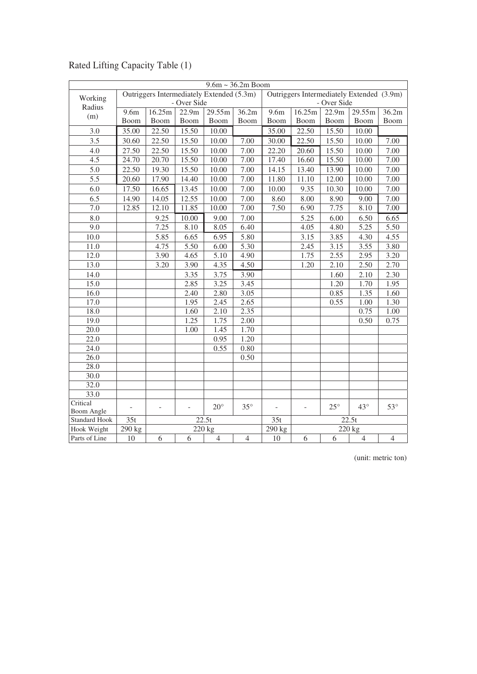|                                    | $9.6m \sim 36.2m$ Boom   |                          |                          |                                           |                   |                                           |                          |              |                |                |
|------------------------------------|--------------------------|--------------------------|--------------------------|-------------------------------------------|-------------------|-------------------------------------------|--------------------------|--------------|----------------|----------------|
|                                    |                          |                          |                          | Outriggers Intermediately Extended (5.3m) |                   | Outriggers Intermediately Extended (3.9m) |                          |              |                |                |
| Working<br>Radius                  |                          |                          | - Over Side              |                                           |                   | - Over Side                               |                          |              |                |                |
| (m)                                | 9.6m                     | 16.25m                   | 22.9m                    | 29.55m                                    | 36.2m             | 9.6m                                      | 16.25m                   | 22.9m        | 29.55m         | 36.2m          |
|                                    | Boom                     | Boom                     | Boom                     | Boom                                      | Boom              | Boom                                      | Boom                     | Boom         | Boom           | Boom           |
| 3.0                                | 35.00                    | 22.50                    | 15.50                    | 10.00                                     |                   | 35.00                                     | 22.50                    | 15.50        | 10.00          |                |
| 3.5                                | 30.60                    | 22.50                    | 15.50                    | 10.00                                     | 7.00              | 30.00                                     | 22.50                    | 15.50        | 10.00          | 7.00           |
| 4.0                                | 27.50                    | 22.50                    | 15.50                    | 10.00                                     | 7.00              | 22.20                                     | 20.60                    | 15.50        | 10.00          | 7.00           |
| $\overline{4.5}$                   | 24.70                    | 20.70                    | 15.50                    | 10.00                                     | 7.00              | 17.40                                     | 16.60                    | 15.50        | 10.00          | 7.00           |
| 5.0                                | 22.50                    | 19.30                    | 15.50                    | 10.00                                     | 7.00              | 14.15                                     | 13.40                    | 13.90        | 10.00          | 7.00           |
| $\overline{5.5}$                   | 20.60                    | 17.90                    | 14.40                    | 10.00                                     | 7.00              | 11.80                                     | 11.10                    | 12.00        | 10.00          | 7.00           |
| 6.0                                | 17.50                    | 16.65                    | 13.45                    | 10.00                                     | 7.00              | 10.00                                     | 9.35                     | 10.30        | 10.00          | 7.00           |
| 6.5                                | 14.90                    | 14.05                    | 12.55                    | 10.00                                     | 7.00              | 8.60                                      | 8.00                     | 8.90         | 9.00           | 7.00           |
| $\overline{7.0}$                   | 12.85                    | 12.10                    | 11.85                    | 10.00                                     | 7.00              | 7.50                                      | 6.90                     | 7.75         | 8.10           | 7.00           |
| 8.0                                |                          | 9.25                     | 10.00                    | 9.00                                      | 7.00              |                                           | 5.25                     | 6.00         | 6.50           | 6.65           |
| 9.0                                |                          | 7.25                     | 8.10                     | 8.05                                      | 6.40              |                                           | 4.05                     | 4.80         | 5.25           | 5.50           |
| 10.0                               |                          | 5.85                     | 6.65                     | 6.95                                      | 5.80              |                                           | 3.15                     | 3.85         | 4.30           | 4.55           |
| 11.0                               |                          | 4.75                     | $\overline{5.50}$        | 6.00                                      | $\overline{5.30}$ |                                           | $\overline{2.45}$        | 3.15         | 3.55           | 3.80           |
| 12.0                               |                          | 3.90                     | 4.65                     | 5.10                                      | 4.90              |                                           | 1.75                     | 2.55         | 2.95           | 3.20           |
| 13.0                               |                          | 3.20                     | 3.90                     | 4.35                                      | 4.50              |                                           | 1.20                     | 2.10         | 2.50           | 2.70           |
| 14.0                               |                          |                          | 3.35                     | 3.75                                      | 3.90              |                                           |                          | 1.60         | 2.10           | 2.30           |
| 15.0                               |                          |                          | 2.85                     | 3.25                                      | 3.45              |                                           |                          | 1.20         | 1.70           | 1.95           |
| 16.0                               |                          |                          | 2.40                     | 2.80                                      | 3.05              |                                           |                          | 0.85         | 1.35           | 1.60           |
| 17.0                               |                          |                          | 1.95                     | 2.45                                      | 2.65              |                                           |                          | 0.55         | 1.00           | 1.30           |
| 18.0                               |                          |                          | 1.60                     | 2.10                                      | 2.35              |                                           |                          |              | 0.75           | 1.00           |
| 19.0                               |                          |                          | 1.25                     | 1.75                                      | 2.00              |                                           |                          |              | 0.50           | 0.75           |
| $\overline{20.0}$                  |                          |                          | 1.00                     | 1.45                                      | 1.70              |                                           |                          |              |                |                |
| 22.0                               |                          |                          |                          | 0.95                                      | 1.20              |                                           |                          |              |                |                |
| $\overline{24.0}$                  |                          |                          |                          | 0.55                                      | 0.80              |                                           |                          |              |                |                |
| 26.0                               |                          |                          |                          |                                           | 0.50              |                                           |                          |              |                |                |
| 28.0                               |                          |                          |                          |                                           |                   |                                           |                          |              |                |                |
| 30.0                               |                          |                          |                          |                                           |                   |                                           |                          |              |                |                |
| 32.0                               |                          |                          |                          |                                           |                   |                                           |                          |              |                |                |
| 33.0                               |                          |                          |                          |                                           |                   |                                           |                          |              |                |                |
| Critical                           | $\overline{\phantom{0}}$ | $\overline{\phantom{a}}$ | $\overline{\phantom{m}}$ | $20^{\circ}$                              | $35^{\circ}$      | $\overline{\phantom{a}}$                  | $\overline{\phantom{a}}$ | $25^{\circ}$ | $43^\circ$     | $53^\circ$     |
| Boom Angle<br><b>Standard Hook</b> | 35t                      |                          |                          | 22.5t                                     |                   | 35t                                       |                          |              | 22.5t          |                |
| Hook Weight                        | 290 kg                   |                          |                          | $\overline{220}$ kg                       |                   | 290 kg                                    |                          |              | 220 kg         |                |
| Parts of Line                      | 10                       | 6                        | 6                        | $\overline{4}$                            | $\overline{4}$    | 10                                        | 6                        | 6            | $\overline{4}$ | $\overline{4}$ |

### Rated Lifting Capacity Table (1)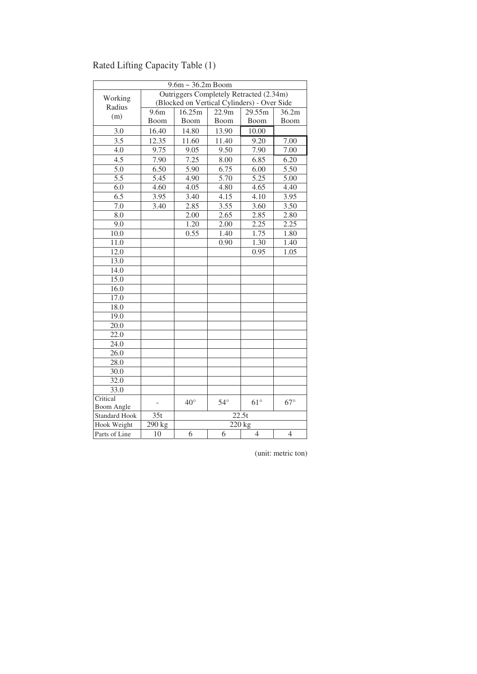|                      | $9.6m \sim 36.2m$ Boom |                   |                                             |                    |                   |  |  |  |  |
|----------------------|------------------------|-------------------|---------------------------------------------|--------------------|-------------------|--|--|--|--|
|                      |                        |                   | Outriggers Completely Retracted (2.34m)     |                    |                   |  |  |  |  |
| Working<br>Radius    |                        |                   | (Blocked on Vertical Cylinders) - Over Side |                    |                   |  |  |  |  |
| (m)                  | $\overline{9.6m}$      | 16.25m            | 22.9m                                       | 29.55m             | 36.2m             |  |  |  |  |
|                      | Boom                   | Boom              | Boom                                        | Boom               | Boom              |  |  |  |  |
| 3.0                  | 16.40                  | 14.80             | 13.90                                       | 10.00              |                   |  |  |  |  |
| 3.5                  | 12.35                  | 11.60             | 11.40                                       | 9.20               | 7.00              |  |  |  |  |
| 4.0                  | 9.75                   | 9.05              | 9.50                                        | 7.90               | 7.00              |  |  |  |  |
| 4.5                  | 7.90                   | 7.25              | 8.00                                        | 6.85               | 6.20              |  |  |  |  |
| $\overline{5.0}$     | 6.50                   | $\overline{5.90}$ | 6.75                                        | 6.00               | $\overline{5.50}$ |  |  |  |  |
| $\overline{5.5}$     | 5.45                   | 4.90              | $\overline{5.70}$                           | $\overline{5.25}$  | $\overline{5.00}$ |  |  |  |  |
| 6.0                  | 4.60                   | 4.05              | 4.80                                        | 4.65               | 4.40              |  |  |  |  |
| 6.5                  | 3.95                   | 3.40              | 4.15                                        | 4.10               | 3.95              |  |  |  |  |
| 7.0                  | 3.40                   | 2.85              | 3.55                                        | 3.60               | 3.50              |  |  |  |  |
| 8.0                  |                        | 2.00              | 2.65                                        | 2.85               | 2.80              |  |  |  |  |
| 9.0                  |                        | 1.20              | 2.00                                        | 2.25               | 2.25              |  |  |  |  |
| 10.0                 |                        | 0.55              | 1.40                                        | 1.75               | 1.80              |  |  |  |  |
| 11.0                 |                        |                   | 0.90                                        | 1.30               | 1.40              |  |  |  |  |
| 12.0                 |                        |                   |                                             | 0.95               | 1.05              |  |  |  |  |
| 13.0                 |                        |                   |                                             |                    |                   |  |  |  |  |
| 14.0                 |                        |                   |                                             |                    |                   |  |  |  |  |
| 15.0                 |                        |                   |                                             |                    |                   |  |  |  |  |
| 16.0                 |                        |                   |                                             |                    |                   |  |  |  |  |
| 17.0                 |                        |                   |                                             |                    |                   |  |  |  |  |
| 18.0                 |                        |                   |                                             |                    |                   |  |  |  |  |
| 19.0                 |                        |                   |                                             |                    |                   |  |  |  |  |
| 20.0                 |                        |                   |                                             |                    |                   |  |  |  |  |
| 22.0                 |                        |                   |                                             |                    |                   |  |  |  |  |
| 24.0                 |                        |                   |                                             |                    |                   |  |  |  |  |
| 26.0                 |                        |                   |                                             |                    |                   |  |  |  |  |
| 28.0                 |                        |                   |                                             |                    |                   |  |  |  |  |
| 30.0                 |                        |                   |                                             |                    |                   |  |  |  |  |
| 32.0                 |                        |                   |                                             |                    |                   |  |  |  |  |
| 33.0                 |                        |                   |                                             |                    |                   |  |  |  |  |
| Critical             |                        | $40^{\circ}$      | $54^\circ$                                  | $61^{\circ}$       | $67^\circ$        |  |  |  |  |
| <b>Boom Angle</b>    |                        |                   |                                             |                    |                   |  |  |  |  |
| <b>Standard Hook</b> | $\overline{35t}$       |                   |                                             | $\overline{22.5t}$ |                   |  |  |  |  |
| Hook Weight          | 290 kg                 |                   |                                             | 220 kg             |                   |  |  |  |  |
| Parts of Line        | 10                     | 6                 | 6                                           | $\overline{4}$     | $\overline{4}$    |  |  |  |  |

### Rated Lifting Capacity Table (1)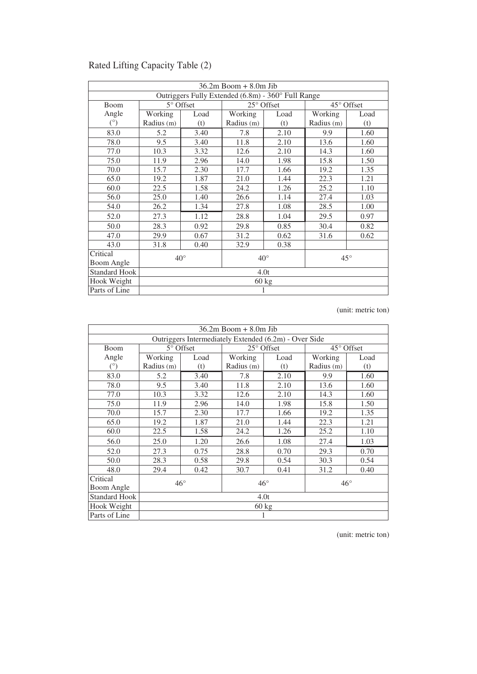| $36.2m$ Boom $+8.0m$ Jib                           |                                              |           |            |            |                     |      |  |  |
|----------------------------------------------------|----------------------------------------------|-----------|------------|------------|---------------------|------|--|--|
| Outriggers Fully Extended (6.8m) - 360° Full Range |                                              |           |            |            |                     |      |  |  |
| <b>Boom</b>                                        |                                              | 5° Offset |            | 25° Offset | $45^{\circ}$ Offset |      |  |  |
| Angle                                              | Working                                      | Load      | Working    | Load       | Working             | Load |  |  |
| $(^\circ)$                                         | Radius (m)                                   | (t)       | Radius (m) | (t)        | Radius (m)          | (t)  |  |  |
| 83.0                                               | 5.2                                          | 3.40      | 7.8        | 2.10       | 9.9                 | 1.60 |  |  |
| 78.0                                               | 9.5                                          | 3.40      | 11.8       | 2.10       | 13.6                | 1.60 |  |  |
| 77.0                                               | 10.3                                         | 3.32      | 12.6       | 2.10       | 14.3                | 1.60 |  |  |
| 75.0                                               | 11.9                                         | 2.96      | 14.0       | 1.98       | 15.8                | 1.50 |  |  |
| 70.0                                               | 15.7                                         | 2.30      | 17.7       | 1.66       | 19.2                | 1.35 |  |  |
| 65.0                                               | 19.2                                         | 1.87      | 21.0       | 1.44       | 22.3                | 1.21 |  |  |
| 60.0                                               | 22.5<br>1.58                                 |           | 24.2       | 1.26       | 25.2                | 1.10 |  |  |
| 56.0                                               | 25.0                                         | 1.40      | 26.6       | 1.14       | 27.4                | 1.03 |  |  |
| 54.0                                               | 26.2                                         | 1.34      | 27.8       | 1.08       | 28.5                | 1.00 |  |  |
| 52.0                                               | 27.3                                         | 1.12      | 28.8       | 1.04       | 29.5                | 0.97 |  |  |
| 50.0                                               | 28.3                                         | 0.92      | 29.8       | 0.85       | 30.4                | 0.82 |  |  |
| 47.0                                               | 29.9                                         | 0.67      | 31.2       | 0.62       | 31.6                | 0.62 |  |  |
| 43.0                                               | 31.8                                         | 0.40      | 32.9       | 0.38       |                     |      |  |  |
| Critical                                           |                                              |           |            |            |                     |      |  |  |
| Boom Angle                                         | $40^{\circ}$<br>$40^{\circ}$<br>$45^{\circ}$ |           |            |            |                     |      |  |  |
| <b>Standard Hook</b>                               |                                              | 4.0t      |            |            |                     |      |  |  |
| Hook Weight                                        |                                              | 60 kg     |            |            |                     |      |  |  |
| Parts of Line                                      |                                              |           | 1          |            |                     |      |  |  |

### Rated Lifting Capacity Table (2)

(unit: metric ton)

|                      | $36.2m$ Boom $+ 8.0m$ Jib                             |                                              |            |            |            |            |  |  |  |
|----------------------|-------------------------------------------------------|----------------------------------------------|------------|------------|------------|------------|--|--|--|
|                      | Outriggers Intermediately Extended (6.2m) - Over Side |                                              |            |            |            |            |  |  |  |
| Boom                 |                                                       | $5^{\circ}$ Offset                           |            | 25° Offset |            | 45° Offset |  |  |  |
| Angle                | Working                                               | Load                                         | Working    | Load       | Working    | Load       |  |  |  |
| $(^\circ)$           | Radius (m)                                            | (t)                                          | Radius (m) | (t)        | Radius (m) | (t)        |  |  |  |
| 83.0                 | 5.2                                                   | 3.40                                         | 7.8        | 2.10       | 9.9        | 1.60       |  |  |  |
| 78.0                 | 9.5                                                   | 3.40                                         | 11.8       | 2.10       | 13.6       | 1.60       |  |  |  |
| 77.0                 | 10.3                                                  | 3.32                                         | 12.6       | 2.10       | 14.3       | 1.60       |  |  |  |
| 75.0                 | 11.9                                                  | 2.96                                         | 14.0       | 1.98       | 15.8       | 1.50       |  |  |  |
| 70.0                 | 15.7                                                  | 2.30                                         | 17.7       | 1.66       | 19.2       | 1.35       |  |  |  |
| 65.0                 | 19.2                                                  | 1.87                                         | 21.0       | 1.44       | 22.3       | 1.21       |  |  |  |
| 60.0                 | 22.5                                                  | 1.58                                         | 24.2       | 1.26       | 25.2       | 1.10       |  |  |  |
| 56.0                 | 25.0                                                  | 1.20                                         | 26.6       | 1.08       | 27.4       | 1.03       |  |  |  |
| 52.0                 | 27.3                                                  | 0.75                                         | 28.8       | 0.70       | 29.3       | 0.70       |  |  |  |
| 50.0                 | 28.3                                                  | 0.58                                         | 29.8       | 0.54       | 30.3       | 0.54       |  |  |  |
| 48.0                 | 29.4                                                  | 0.42                                         | 30.7       | 0.41       | 31.2       | 0.40       |  |  |  |
| Critical             |                                                       |                                              |            |            |            |            |  |  |  |
| Boom Angle           |                                                       | $46^{\circ}$<br>$46^{\circ}$<br>$46^{\circ}$ |            |            |            |            |  |  |  |
| <b>Standard Hook</b> |                                                       |                                              |            | 4.0t       |            |            |  |  |  |
| Hook Weight          |                                                       | $60 \text{ kg}$                              |            |            |            |            |  |  |  |
| Parts of Line        |                                                       |                                              |            |            |            |            |  |  |  |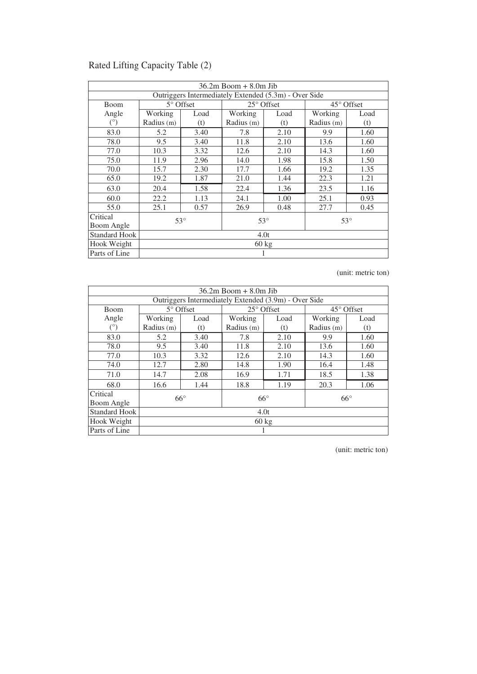| $36.2m$ Boom $+8.0m$ Jib                              |                                          |                    |            |                     |            |                     |  |  |
|-------------------------------------------------------|------------------------------------------|--------------------|------------|---------------------|------------|---------------------|--|--|
| Outriggers Intermediately Extended (5.3m) - Over Side |                                          |                    |            |                     |            |                     |  |  |
| Boom                                                  |                                          | $5^{\circ}$ Offset |            | $25^{\circ}$ Offset |            | $45^{\circ}$ Offset |  |  |
| Angle                                                 | Working                                  | Load               | Working    | Load                | Working    | Load                |  |  |
| $(^\circ)$                                            | Radius (m)                               | (t)                | Radius (m) | (t)                 | Radius (m) | (t)                 |  |  |
| 83.0                                                  | 5.2                                      | 3.40               | 7.8        | 2.10                | 9.9        | 1.60                |  |  |
| 78.0                                                  | 9.5                                      | 3.40               | 11.8       | 2.10                | 13.6       | 1.60                |  |  |
| 77.0                                                  | 10.3                                     | 3.32               | 12.6       | 2.10                | 14.3       | 1.60                |  |  |
| 75.0                                                  | 11.9                                     | 2.96               | 14.0       | 1.98                | 15.8       | 1.50                |  |  |
| 70.0                                                  | 15.7<br>2.30                             |                    | 17.7       | 1.66                | 19.2       | 1.35                |  |  |
| 65.0                                                  | 19.2                                     | 1.87               | 21.0       | 1.44                | 22.3       | 1.21                |  |  |
| 63.0                                                  | 20.4                                     | 1.58               | 22.4       | 1.36                | 23.5       | 1.16                |  |  |
| 60.0                                                  | 22.2                                     | 1.13               | 24.1       | 1.00                | 25.1       | 0.93                |  |  |
| 55.0                                                  | 25.1                                     | 0.57               | 26.9       | 0.48                | 27.7       | 0.45                |  |  |
| Critical                                              |                                          |                    |            |                     |            |                     |  |  |
| Boom Angle                                            | $53^\circ$<br>$53^\circ$<br>$53^{\circ}$ |                    |            |                     |            |                     |  |  |
| <b>Standard Hook</b>                                  | 4.0t                                     |                    |            |                     |            |                     |  |  |
| Hook Weight                                           | $60 \text{ kg}$                          |                    |            |                     |            |                     |  |  |
| Parts of Line                                         |                                          |                    |            |                     |            |                     |  |  |

### Rated Lifting Capacity Table (2)

(unit: metric ton)

| $36.2m$ Boom $+ 8.0m$ Jib                             |                  |                                          |            |                     |            |                     |  |  |
|-------------------------------------------------------|------------------|------------------------------------------|------------|---------------------|------------|---------------------|--|--|
| Outriggers Intermediately Extended (3.9m) - Over Side |                  |                                          |            |                     |            |                     |  |  |
| <b>Boom</b>                                           | $5^\circ$ Offset |                                          |            | $25^{\circ}$ Offset |            | $45^{\circ}$ Offset |  |  |
| Angle                                                 | Working          | Load                                     | Working    | Load                | Working    | Load                |  |  |
| $(^\circ)$                                            | Radius (m)       | (t)                                      | Radius (m) | (t)                 | Radius (m) | (t)                 |  |  |
| 83.0                                                  | 5.2              | 3.40                                     | 7.8        | 2.10                | 9.9        | 1.60                |  |  |
| 78.0                                                  | 9.5              | 3.40                                     | 11.8       | 2.10                | 13.6       | 1.60                |  |  |
| 77.0                                                  | 10.3             | 3.32                                     | 12.6       | 2.10                | 14.3       | 1.60                |  |  |
| 74.0                                                  | 12.7             | 2.80                                     | 14.8       | 1.90                | 16.4       | 1.48                |  |  |
| 71.0                                                  | 14.7             | 2.08                                     | 16.9       | 1.71                | 18.5       | 1.38                |  |  |
| 68.0                                                  | 16.6             | 1.44                                     | 18.8       | 1.19                | 20.3       | 1.06                |  |  |
| Critical                                              |                  |                                          |            |                     |            |                     |  |  |
| Boom Angle                                            |                  | $66^\circ$<br>$66^\circ$<br>$66^{\circ}$ |            |                     |            |                     |  |  |
| <b>Standard Hook</b>                                  | 4.0t             |                                          |            |                     |            |                     |  |  |
| Hook Weight                                           | $60 \text{ kg}$  |                                          |            |                     |            |                     |  |  |
| Parts of Line                                         |                  |                                          |            |                     |            |                     |  |  |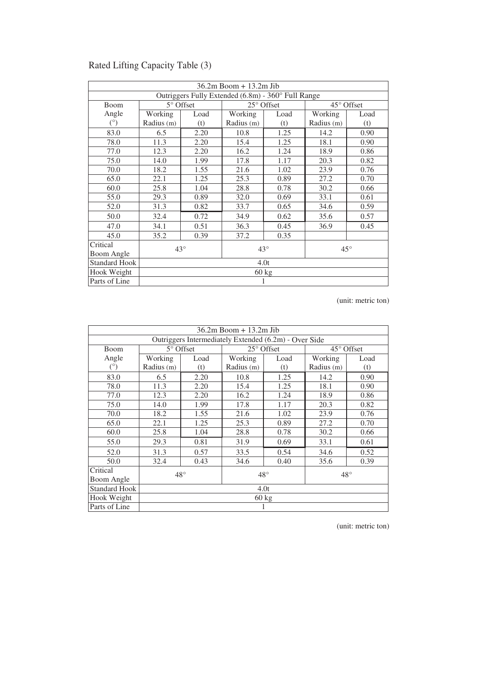| 36.2m Boom + 13.2m Jib                             |                    |                                          |            |                     |                     |      |  |  |
|----------------------------------------------------|--------------------|------------------------------------------|------------|---------------------|---------------------|------|--|--|
| Outriggers Fully Extended (6.8m) - 360° Full Range |                    |                                          |            |                     |                     |      |  |  |
| Boom                                               | $5^{\circ}$ Offset |                                          |            | $25^{\circ}$ Offset | $45^{\circ}$ Offset |      |  |  |
| Angle                                              | Working            | Load                                     | Working    | Load                | Working             | Load |  |  |
| $(^\circ)$                                         | Radius (m)         | (t)                                      | Radius (m) | (t)                 | Radius (m)          | (t)  |  |  |
| 83.0                                               | 6.5                | 2.20                                     | 10.8       | 1.25                | 14.2                | 0.90 |  |  |
| 78.0                                               | 11.3               | 2.20                                     | 15.4       | 1.25                | 18.1                | 0.90 |  |  |
| 77.0                                               | 12.3               | 2.20                                     | 16.2       | 1.24                | 18.9                | 0.86 |  |  |
| 75.0                                               | 14.0               | 1.99                                     | 17.8       | 1.17                | 20.3                | 0.82 |  |  |
| 70.0                                               | 18.2               | 1.55                                     | 21.6       | 1.02                | 23.9                | 0.76 |  |  |
| 65.0                                               | 22.1               | 1.25                                     | 25.3       | 0.89                | 27.2                | 0.70 |  |  |
| 60.0                                               | 25.8               | 1.04                                     | 28.8       | 0.78                | 30.2                | 0.66 |  |  |
| 55.0                                               | 29.3               | 0.89                                     | 32.0       | 0.69                | 33.1                | 0.61 |  |  |
| 52.0                                               | 31.3               | 0.82                                     | 33.7       | 0.65                | 34.6                | 0.59 |  |  |
| 50.0                                               | 32.4               | 0.72                                     | 34.9       | 0.62                | 35.6                | 0.57 |  |  |
| 47.0                                               | 34.1               | 0.51                                     | 36.3       | 0.45                | 36.9                | 0.45 |  |  |
| 45.0                                               | 35.2               | 0.39                                     | 37.2       | 0.35                |                     |      |  |  |
| Critical                                           |                    |                                          |            |                     |                     |      |  |  |
| Boom Angle                                         |                    | $43^\circ$<br>$43^\circ$<br>$45^{\circ}$ |            |                     |                     |      |  |  |
| <b>Standard Hook</b>                               | 4.0t               |                                          |            |                     |                     |      |  |  |
| Hook Weight                                        | $60 \text{ kg}$    |                                          |            |                     |                     |      |  |  |
| Parts of Line                                      |                    |                                          |            |                     |                     |      |  |  |

### Rated Lifting Capacity Table (3)

(unit: metric ton)

| $36.2m$ Boom + 13.2m Jib                              |                                              |                 |            |            |                     |      |  |  |
|-------------------------------------------------------|----------------------------------------------|-----------------|------------|------------|---------------------|------|--|--|
| Outriggers Intermediately Extended (6.2m) - Over Side |                                              |                 |            |            |                     |      |  |  |
| <b>Boom</b>                                           | 5° Offset                                    |                 |            | 25° Offset | $45^{\circ}$ Offset |      |  |  |
| Angle                                                 | Working                                      | Load            | Working    | Load       | Working             | Load |  |  |
| $(^\circ)$                                            | Radius (m)                                   | (t)             | Radius (m) | (t)        | Radius (m)          | (t)  |  |  |
| 83.0                                                  | 6.5                                          | 2.20            | 10.8       | 1.25       | 14.2                | 0.90 |  |  |
| 78.0                                                  | 11.3                                         | 2.20            | 15.4       | 1.25       | 18.1                | 0.90 |  |  |
| 77.0                                                  | 12.3                                         | 2.20            | 16.2       | 1.24       | 18.9                | 0.86 |  |  |
| 75.0                                                  | 14.0                                         | 1.99            | 17.8       | 1.17       | 20.3                | 0.82 |  |  |
| 70.0                                                  | 18.2                                         | 1.55            | 21.6       | 1.02       | 23.9                | 0.76 |  |  |
| 65.0                                                  | 22.1                                         | 1.25            | 25.3       | 0.89       | 27.2                | 0.70 |  |  |
| 60.0                                                  | 25.8                                         | 1.04            | 28.8       | 0.78       | 30.2                | 0.66 |  |  |
| 55.0                                                  | 29.3                                         | 0.81            | 31.9       | 0.69       | 33.1                | 0.61 |  |  |
| 52.0                                                  | 31.3                                         | 0.57            | 33.5       | 0.54       | 34.6                | 0.52 |  |  |
| 50.0                                                  | 32.4                                         | 0.43            | 34.6       | 0.40       | 35.6                | 0.39 |  |  |
| Critical                                              |                                              |                 |            |            |                     |      |  |  |
| Boom Angle                                            | $48^{\circ}$<br>$48^{\circ}$<br>$48^{\circ}$ |                 |            |            |                     |      |  |  |
| <b>Standard Hook</b>                                  |                                              | 4.0t            |            |            |                     |      |  |  |
| Hook Weight                                           |                                              | $60 \text{ kg}$ |            |            |                     |      |  |  |
| Parts of Line                                         |                                              |                 |            |            |                     |      |  |  |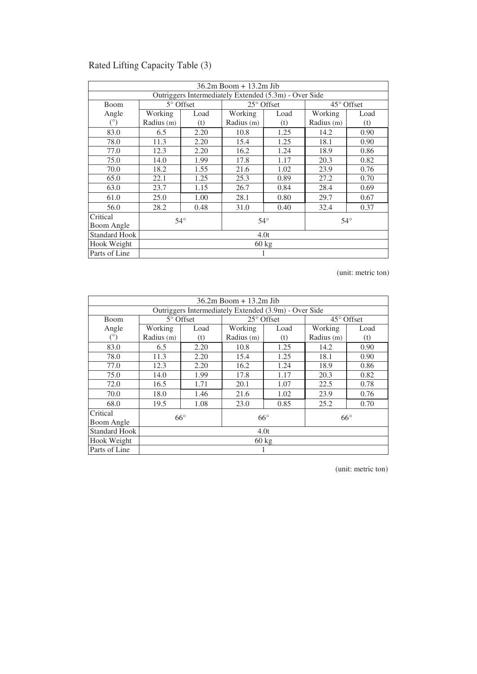| $36.2m$ Boom + $13.2m$ Jib                            |                 |                    |              |      |              |      |
|-------------------------------------------------------|-----------------|--------------------|--------------|------|--------------|------|
| Outriggers Intermediately Extended (5.3m) - Over Side |                 |                    |              |      |              |      |
| <b>Boom</b>                                           |                 | $5^{\circ}$ Offset | 25° Offset   |      | 45° Offset   |      |
| Angle                                                 | Working         | Load               | Working      | Load | Working      | Load |
| $(^\circ)$                                            | Radius (m)      | (t)                | Radius (m)   | (t)  | Radius (m)   | (t)  |
| 83.0                                                  | 6.5             | 2.20               | 10.8         | 1.25 | 14.2         | 0.90 |
| 78.0                                                  | 11.3            | 2.20               | 15.4         | 1.25 | 18.1         | 0.90 |
| 77.0                                                  | 12.3            | 2.20               | 16.2         | 1.24 | 18.9         | 0.86 |
| 75.0                                                  | 14.0            | 1.99               | 17.8         | 1.17 | 20.3         | 0.82 |
| 70.0                                                  | 18.2            | 1.55               | 21.6         | 1.02 | 23.9         | 0.76 |
| 65.0                                                  | 22.1            | 1.25               | 25.3         | 0.89 | 27.2         | 0.70 |
| 63.0                                                  | 23.7            | 1.15               | 26.7         | 0.84 | 28.4         | 0.69 |
| 61.0                                                  | 25.0            | 1.00               | 28.1         | 0.80 | 29.7         | 0.67 |
| 56.0                                                  | 28.2            | 0.48               | 31.0         | 0.40 | 32.4         | 0.37 |
| Critical                                              | $54^\circ$      |                    | $54^{\circ}$ |      | $54^{\circ}$ |      |
| Boom Angle                                            |                 |                    |              |      |              |      |
| <b>Standard Hook</b>                                  | 4.0t            |                    |              |      |              |      |
| Hook Weight                                           | $60 \text{ kg}$ |                    |              |      |              |      |
| Parts of Line                                         |                 |                    |              |      |              |      |

### Rated Lifting Capacity Table (3)

(unit: metric ton)

| $36.2m$ Boom + 13.2m Jib                              |                  |      |                     |      |                     |      |
|-------------------------------------------------------|------------------|------|---------------------|------|---------------------|------|
| Outriggers Intermediately Extended (3.9m) - Over Side |                  |      |                     |      |                     |      |
| <b>Boom</b>                                           | $5^\circ$ Offset |      | $25^{\circ}$ Offset |      | $45^{\circ}$ Offset |      |
| Angle                                                 | Working          | Load | Working             | Load | Working             | Load |
| $(^\circ)$                                            | Radius (m)       | (t)  | Radius (m)          | (t)  | Radius (m)          | (t)  |
| 83.0                                                  | 6.5              | 2.20 | 10.8                | 1.25 | 14.2                | 0.90 |
| 78.0                                                  | 11.3             | 2.20 | 15.4                | 1.25 | 18.1                | 0.90 |
| 77.0                                                  | 12.3             | 2.20 | 16.2                | 1.24 | 18.9                | 0.86 |
| 75.0                                                  | 14.0             | 1.99 | 17.8                | 1.17 | 20.3                | 0.82 |
| 72.0                                                  | 16.5             | 1.71 | 20.1                | 1.07 | 22.5                | 0.78 |
| 70.0                                                  | 18.0             | 1.46 | 21.6                | 1.02 | 23.9                | 0.76 |
| 68.0                                                  | 19.5             | 1.08 | 23.0                | 0.85 | 25.2                | 0.70 |
| Critical                                              | $66^\circ$       |      | $66^{\circ}$        |      | $66^{\circ}$        |      |
| Boom Angle                                            |                  |      |                     |      |                     |      |
| <b>Standard Hook</b>                                  | 4.0t             |      |                     |      |                     |      |
| Hook Weight                                           | $60 \text{ kg}$  |      |                     |      |                     |      |
| Parts of Line                                         |                  |      |                     |      |                     |      |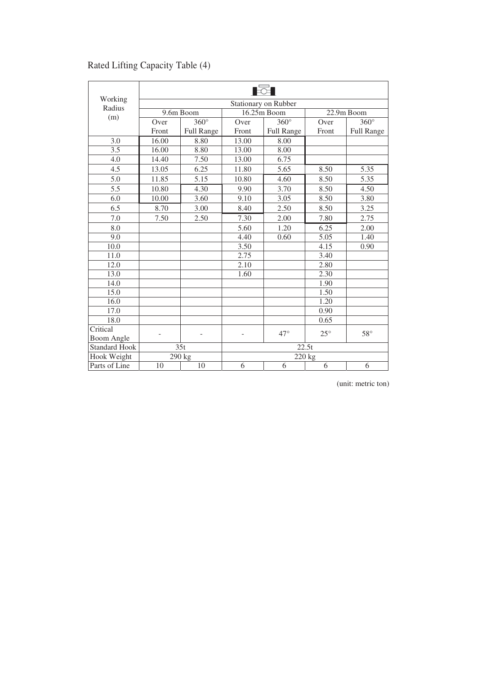|                      | <b>Excell</b>        |                   |             |              |              |                   |
|----------------------|----------------------|-------------------|-------------|--------------|--------------|-------------------|
| Working<br>Radius    | Stationary on Rubber |                   |             |              |              |                   |
| (m)                  | 9.6m Boom            |                   | 16.25m Boom |              | 22.9m Boom   |                   |
|                      | Over                 | $360^\circ$       | Over        | $360^\circ$  | Over         | $360^\circ$       |
|                      | Front                | <b>Full Range</b> | Front       | Full Range   | Front        | <b>Full Range</b> |
| 3.0                  | 16.00                | 8.80              | 13.00       | 8.00         |              |                   |
| 3.5                  | 16.00                | 8.80              | 13.00       | 8.00         |              |                   |
| $\overline{4.0}$     | 14.40                | 7.50              | 13.00       | 6.75         |              |                   |
| 4.5                  | 13.05                | 6.25              | 11.80       | 5.65         | 8.50         | 5.35              |
| 5.0                  | 11.85                | 5.15              | 10.80       | 4.60         | 8.50         | 5.35              |
| 5.5                  | 10.80                | 4.30              | 9.90        | 3.70         | 8.50         | 4.50              |
| 6.0                  | 10.00                | 3.60              | 9.10        | 3.05         | 8.50         | 3.80              |
| 6.5                  | 8.70                 | 3.00              | 8.40        | 2.50         | 8.50         | 3.25              |
| 7.0                  | 7.50                 | 2.50              | 7.30        | 2.00         | 7.80         | 2.75              |
| 8.0                  |                      |                   | 5.60        | 1.20         | 6.25         | 2.00              |
| 9.0                  |                      |                   | 4.40        | 0.60         | 5.05         | 1.40              |
| 10.0                 |                      |                   | 3.50        |              | 4.15         | 0.90              |
| 11.0                 |                      |                   | 2.75        |              | 3.40         |                   |
| 12.0                 |                      |                   | 2.10        |              | 2.80         |                   |
| 13.0                 |                      |                   | 1.60        |              | 2.30         |                   |
| 14.0                 |                      |                   |             |              | 1.90         |                   |
| 15.0                 |                      |                   |             |              | 1.50         |                   |
| 16.0                 |                      |                   |             |              | 1.20         |                   |
| 17.0                 |                      |                   |             |              | 0.90         |                   |
| 18.0                 |                      |                   |             |              | 0.65         |                   |
| Critical             |                      | $\overline{a}$    | ÷           | $47^{\circ}$ | $25^{\circ}$ | $58^\circ$        |
| <b>Boom Angle</b>    |                      |                   |             |              |              |                   |
| <b>Standard Hook</b> |                      | $\overline{35}t$  | 22.5t       |              |              |                   |
| Hook Weight          |                      | 290 kg            |             | 220 kg       |              |                   |
| Parts of Line        | 10                   | 10                | 6           | 6            | 6            | 6                 |

### Rated Lifting Capacity Table (4)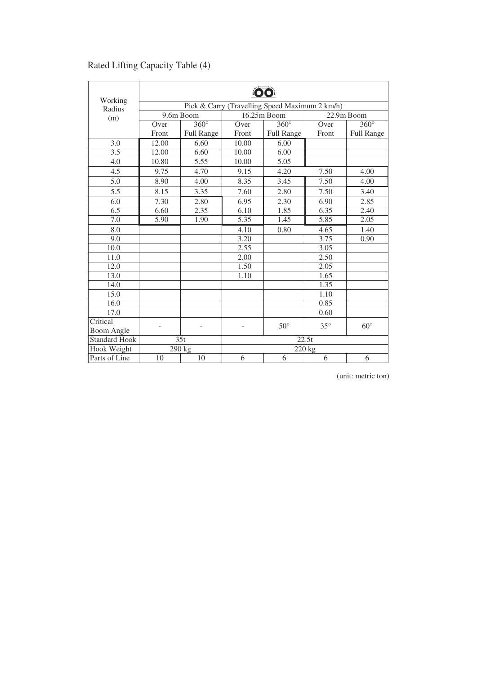|                      | <b>OO</b>                                      |                     |             |                     |            |                   |
|----------------------|------------------------------------------------|---------------------|-------------|---------------------|------------|-------------------|
| Working<br>Radius    | Pick & Carry (Travelling Speed Maximum 2 km/h) |                     |             |                     |            |                   |
| (m)                  |                                                | 9.6m Boom           | 16.25m Boom |                     | 22.9m Boom |                   |
|                      | Over                                           | $360^\circ$         | Over        | $360^\circ$         | Over       | $360^\circ$       |
|                      | Front                                          | <b>Full Range</b>   | Front       | <b>Full Range</b>   | Front      | Full Range        |
| 3.0                  | 12.00                                          | 6.60                | 10.00       | 6.00                |            |                   |
| 3.5                  | 12.00                                          | 6.60                | 10.00       | 6.00                |            |                   |
| 4.0                  | 10.80                                          | 5.55                | 10.00       | 5.05                |            |                   |
| 4.5                  | 9.75                                           | 4.70                | 9.15        | 4.20                | 7.50       | 4.00              |
| 5.0                  | 8.90                                           | 4.00                | 8.35        | 3.45                | 7.50       | 4.00              |
| 5.5                  | 8.15                                           | 3.35                | 7.60        | 2.80                | 7.50       | 3.40              |
| 6.0                  | 7.30                                           | 2.80                | 6.95        | 2.30                | 6.90       | 2.85              |
| 6.5                  | 6.60                                           | 2.35                | 6.10        | 1.85                | 6.35       | $\overline{2.40}$ |
| 7.0                  | 5.90                                           | 1.90                | 5.35        | 1.45                | 5.85       | 2.05              |
| 8.0                  |                                                |                     | 4.10        | 0.80                | 4.65       | 1.40              |
| 9.0                  |                                                |                     | 3.20        |                     | 3.75       | 0.90              |
| 10.0                 |                                                |                     | 2.55        |                     | 3.05       |                   |
| 11.0                 |                                                |                     | 2.00        |                     | 2.50       |                   |
| 12.0                 |                                                |                     | 1.50        |                     | 2.05       |                   |
| 13.0                 |                                                |                     | 1.10        |                     | 1.65       |                   |
| 14.0                 |                                                |                     |             |                     | 1.35       |                   |
| 15.0                 |                                                |                     |             |                     | 1.10       |                   |
| 16.0                 |                                                |                     |             |                     | 0.85       |                   |
| 17.0                 |                                                |                     |             |                     | 0.60       |                   |
| Critical             |                                                |                     |             | $50^\circ$          | $35^\circ$ | $60^\circ$        |
| <b>Boom Angle</b>    |                                                |                     |             |                     |            |                   |
| <b>Standard Hook</b> | 35t                                            |                     | 22.5t       |                     |            |                   |
| Hook Weight          |                                                | $\overline{2}90$ kg |             | $\overline{2}20$ kg |            |                   |
| Parts of Line        | 10                                             | 10                  | 6           | 6                   | 6          | 6                 |

### Rated Lifting Capacity Table (4)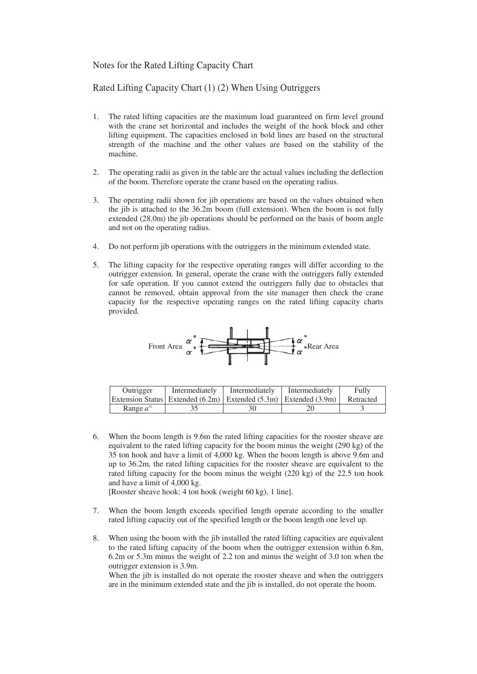#### Notes for the Rated Lifting Capacity Chart

Rated Lifting Capacity Chart (1) (2) When Using Outriggers

- 1. The rated lifting capacities are the maximum load guaranteed on firm level ground with the crane set horizontal and includes the weight of the hook block and other lifting equipment. The capacities enclosed in bold lines are based on the structural strength of the machine and the other values are based on the stability of the machine.
- 2. The operating radii as given in the table are the actual values including the deflection of the boom. Therefore operate the crane based on the operating radius.
- 3. The operating radii shown for jib operations are based on the values obtained when the jib is attached to the 36.2m boom (full extension). When the boom is not fully extended (28.0m) the jib operations should be performed on the basis of boom angle and not on the operating radius.
- 4. Do not perform jib operations with the outriggers in the minimum extended state.
- 5. The lifting capacity for the respective operating ranges will differ according to the outrigger extension. In general, operate the crane with the outriggers fully extended for safe operation. If you cannot extend the outriggers fully due to obstacles that cannot be removed, obtain approval from the site manager then check the crane capacity for the respective operating ranges on the rated lifting capacity charts provided.



| Outrigger         | Intermediately | Intermediately | Intermediately                                                         | Fully     |
|-------------------|----------------|----------------|------------------------------------------------------------------------|-----------|
|                   |                |                | Extension Status   Extended (6.2m)   Extended (5.3m)   Extended (3.9m) | Retracted |
| Range $a^{\circ}$ |                |                |                                                                        |           |

6. When the boom length is 9.6m the rated lifting capacities for the rooster sheave are equivalent to the rated lifting capacity for the boom minus the weight (290 kg) of the 35 ton hook and have a limit of 4,000 kg. When the boom length is above 9.6m and up to 36.2m, the rated lifting capacities for the rooster sheave are equivalent to the rated lifting capacity for the boom minus the weight (220 kg) of the 22.5 ton hook and have a limit of 4,000 kg.

[Rooster sheave hook: 4 ton hook (weight 60 kg), 1 line].

- 7. When the boom length exceeds specified length operate according to the smaller rated lifting capacity out of the specified length or the boom length one level up.
- 8. When using the boom with the jib installed the rated lifting capacities are equivalent to the rated lifting capacity of the boom when the outrigger extension within 6.8m, 6.2m or 5.3m minus the weight of 2.2 ton and minus the weight of 3.0 ton when the outrigger extension is 3.9m.

 When the jib is installed do not operate the rooster sheave and when the outriggers are in the minimum extended state and the jib is installed, do not operate the boom.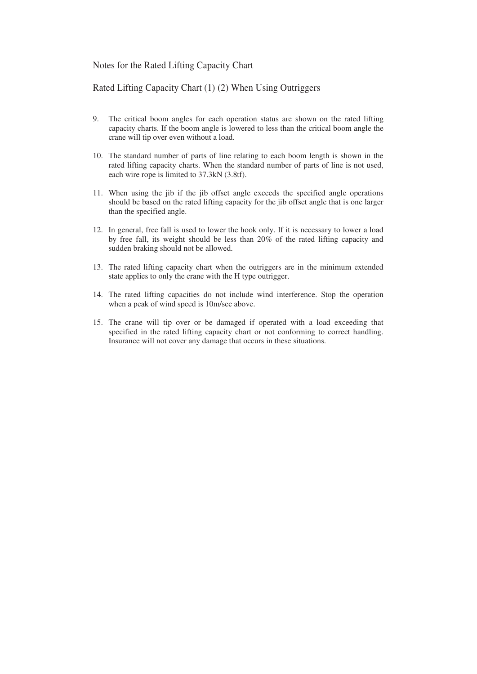#### Notes for the Rated Lifting Capacity Chart

#### Rated Lifting Capacity Chart (1) (2) When Using Outriggers

- 9. The critical boom angles for each operation status are shown on the rated lifting capacity charts. If the boom angle is lowered to less than the critical boom angle the crane will tip over even without a load.
- 10. The standard number of parts of line relating to each boom length is shown in the rated lifting capacity charts. When the standard number of parts of line is not used, each wire rope is limited to 37.3kN (3.8tf).
- 11. When using the jib if the jib offset angle exceeds the specified angle operations should be based on the rated lifting capacity for the jib offset angle that is one larger than the specified angle.
- 12. In general, free fall is used to lower the hook only. If it is necessary to lower a load by free fall, its weight should be less than 20% of the rated lifting capacity and sudden braking should not be allowed.
- 13. The rated lifting capacity chart when the outriggers are in the minimum extended state applies to only the crane with the H type outrigger.
- 14. The rated lifting capacities do not include wind interference. Stop the operation when a peak of wind speed is 10m/sec above.
- 15. The crane will tip over or be damaged if operated with a load exceeding that specified in the rated lifting capacity chart or not conforming to correct handling. Insurance will not cover any damage that occurs in these situations.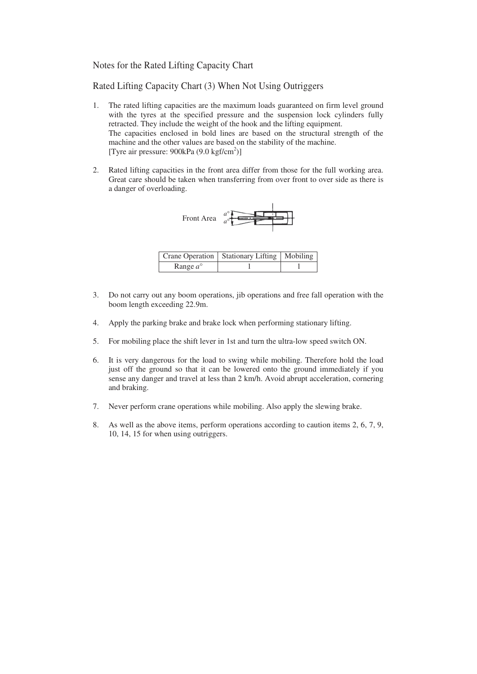#### Notes for the Rated Lifting Capacity Chart

Rated Lifting Capacity Chart (3) When Not Using Outriggers

- 1. The rated lifting capacities are the maximum loads guaranteed on firm level ground with the tyres at the specified pressure and the suspension lock cylinders fully retracted. They include the weight of the hook and the lifting equipment. The capacities enclosed in bold lines are based on the structural strength of the machine and the other values are based on the stability of the machine. [Tyre air pressure:  $900kPa (9.0 kgf/cm<sup>2</sup>)$ ]
- 2. Rated lifting capacities in the front area differ from those for the full working area. Great care should be taken when transferring from over front to over side as there is a danger of overloading.



|                   | Crane Operation   Stationary Lifting   Mobiling |  |
|-------------------|-------------------------------------------------|--|
| Range $a^{\circ}$ |                                                 |  |

- 3. Do not carry out any boom operations, jib operations and free fall operation with the boom length exceeding 22.9m.
- 4. Apply the parking brake and brake lock when performing stationary lifting.
- 5. For mobiling place the shift lever in 1st and turn the ultra-low speed switch ON.
- 6. It is very dangerous for the load to swing while mobiling. Therefore hold the load just off the ground so that it can be lowered onto the ground immediately if you sense any danger and travel at less than 2 km/h. Avoid abrupt acceleration, cornering and braking.
- 7. Never perform crane operations while mobiling. Also apply the slewing brake.
- 8. As well as the above items, perform operations according to caution items 2, 6, 7, 9, 10, 14, 15 for when using outriggers.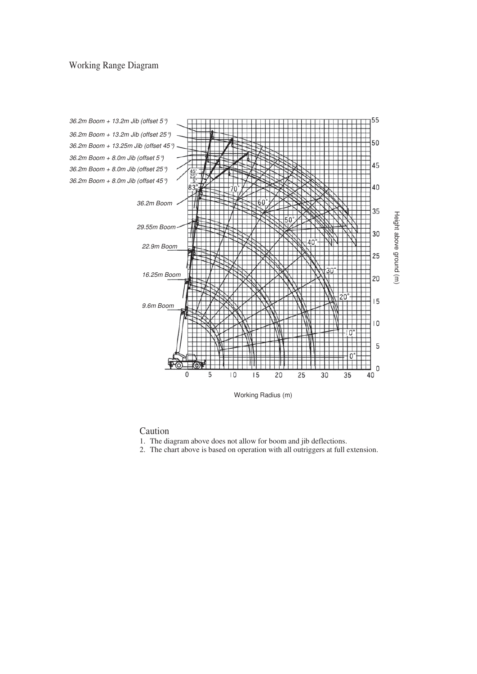#### Working Range Diagram



#### Caution

- 1. The diagram above does not allow for boom and jib deflections.
- 2. The chart above is based on operation with all outriggers at full extension.